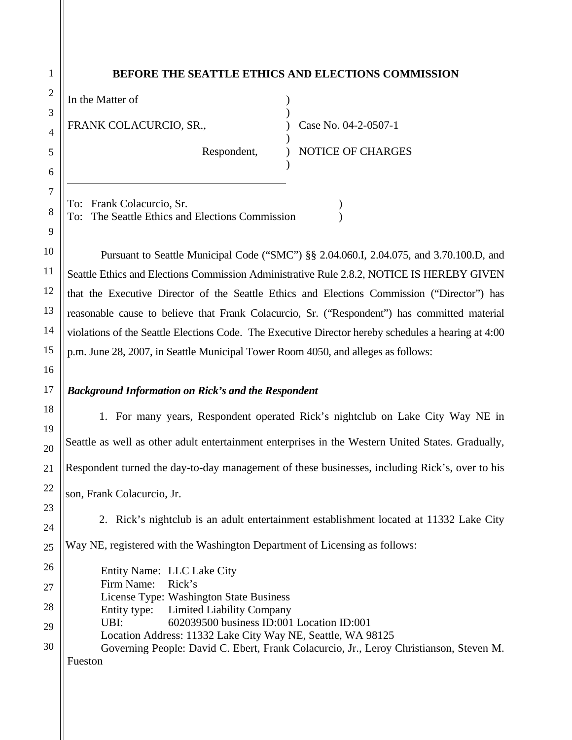# **BEFORE THE SEATTLE ETHICS AND ELECTIONS COMMISSION**

) )

)

)

| In the Matter of<br>FRANK COLACURCIO, SR., |
|--------------------------------------------|
|                                            |

Respondent,

) Case No. 04-2-0507-1 ) NOTICE OF CHARGES

To: Frank Colacurcio, Sr. (1988) To: The Seattle Ethics and Elections Commission (1)

 Pursuant to Seattle Municipal Code ("SMC") §§ 2.04.060.I, 2.04.075, and 3.70.100.D, and Seattle Ethics and Elections Commission Administrative Rule 2.8.2, NOTICE IS HEREBY GIVEN that the Executive Director of the Seattle Ethics and Elections Commission ("Director") has reasonable cause to believe that Frank Colacurcio, Sr. ("Respondent") has committed material violations of the Seattle Elections Code. The Executive Director hereby schedules a hearing at 4:00 p.m. June 28, 2007, in Seattle Municipal Tower Room 4050, and alleges as follows:

# *Background Information on Rick's and the Respondent*

1. For many years, Respondent operated Rick's nightclub on Lake City Way NE in Seattle as well as other adult entertainment enterprises in the Western United States. Gradually, Respondent turned the day-to-day management of these businesses, including Rick's, over to his son, Frank Colacurcio, Jr.

2. Rick's nightclub is an adult entertainment establishment located at 11332 Lake City

Way NE, registered with the Washington Department of Licensing as follows:

Entity Name: LLC Lake City Firm Name: Rick's License Type: Washington State Business Entity type: Limited Liability Company UBI: 602039500 business ID:001 Location ID:001 Location Address: 11332 Lake City Way NE, Seattle, WA 98125 Governing People: David C. Ebert, Frank Colacurcio, Jr., Leroy Christianson, Steven M. Fueston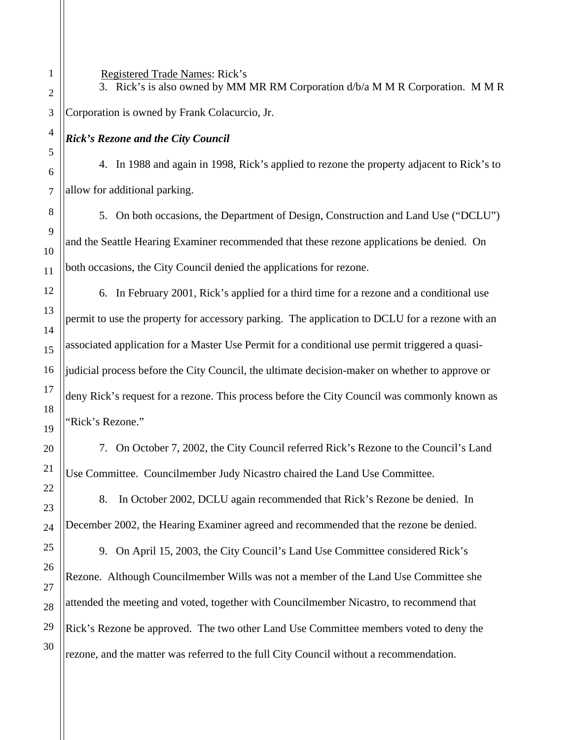Registered Trade Names: Rick's

3. Rick's is also owned by MM MR RM Corporation d/b/a M M R Corporation. M M R Corporation is owned by Frank Colacurcio, Jr.

# *Rick's Rezone and the City Council*

4. In 1988 and again in 1998, Rick's applied to rezone the property adjacent to Rick's to allow for additional parking.

5. On both occasions, the Department of Design, Construction and Land Use ("DCLU") and the Seattle Hearing Examiner recommended that these rezone applications be denied. On both occasions, the City Council denied the applications for rezone.

6. In February 2001, Rick's applied for a third time for a rezone and a conditional use permit to use the property for accessory parking. The application to DCLU for a rezone with an associated application for a Master Use Permit for a conditional use permit triggered a quasijudicial process before the City Council, the ultimate decision-maker on whether to approve or deny Rick's request for a rezone. This process before the City Council was commonly known as 'Rick's Rezone."

7. On October 7, 2002, the City Council referred Rick's Rezone to the Council's Land Use Committee. Councilmember Judy Nicastro chaired the Land Use Committee.

8. In October 2002, DCLU again recommended that Rick's Rezone be denied. In December 2002, the Hearing Examiner agreed and recommended that the rezone be denied.

9. On April 15, 2003, the City Council's Land Use Committee considered Rick's Rezone. Although Councilmember Wills was not a member of the Land Use Committee she attended the meeting and voted, together with Councilmember Nicastro, to recommend that Rick's Rezone be approved. The two other Land Use Committee members voted to deny the rezone, and the matter was referred to the full City Council without a recommendation.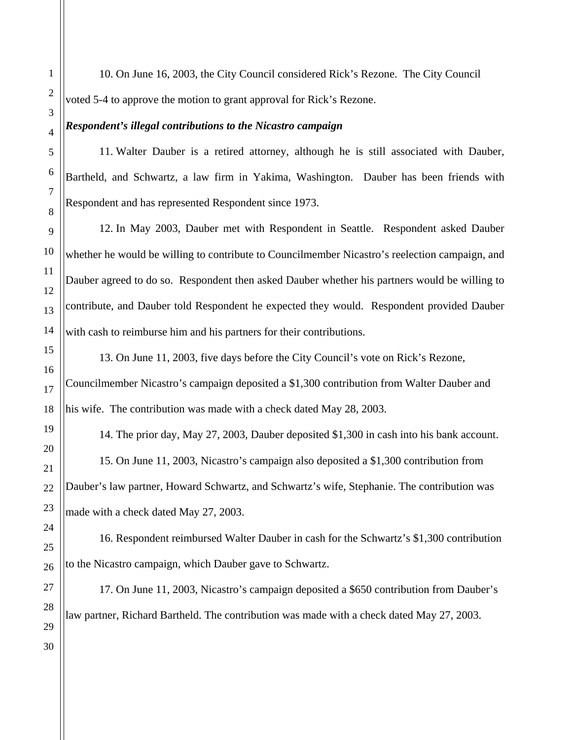10. On June 16, 2003, the City Council considered Rick's Rezone. The City Council voted 5-4 to approve the motion to grant approval for Rick's Rezone.

# *Respondent's illegal contributions to the Nicastro campaign*

11. Walter Dauber is a retired attorney, although he is still associated with Dauber, Bartheld, and Schwartz, a law firm in Yakima, Washington. Dauber has been friends with Respondent and has represented Respondent since 1973.

12. In May 2003, Dauber met with Respondent in Seattle. Respondent asked Dauber whether he would be willing to contribute to Councilmember Nicastro's reelection campaign, and Dauber agreed to do so. Respondent then asked Dauber whether his partners would be willing to contribute, and Dauber told Respondent he expected they would. Respondent provided Dauber with cash to reimburse him and his partners for their contributions.

13. On June 11, 2003, five days before the City Council's vote on Rick's Rezone, Councilmember Nicastro's campaign deposited a \$1,300 contribution from Walter Dauber and his wife. The contribution was made with a check dated May 28, 2003.

14. The prior day, May 27, 2003, Dauber deposited \$1,300 in cash into his bank account. 15. On June 11, 2003, Nicastro's campaign also deposited a \$1,300 contribution from Dauber's law partner, Howard Schwartz, and Schwartz's wife, Stephanie. The contribution was

made with a check dated May 27, 2003.

16. Respondent reimbursed Walter Dauber in cash for the Schwartz's \$1,300 contribution to the Nicastro campaign, which Dauber gave to Schwartz.

17. On June 11, 2003, Nicastro's campaign deposited a \$650 contribution from Dauber's law partner, Richard Bartheld. The contribution was made with a check dated May 27, 2003.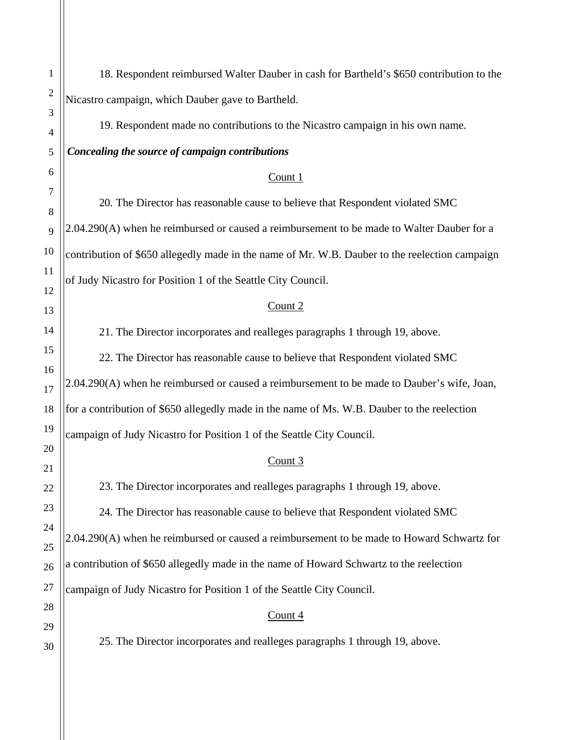18. Respondent reimbursed Walter Dauber in cash for Bartheld's \$650 contribution to the Nicastro campaign, which Dauber gave to Bartheld. 19. Respondent made no contributions to the Nicastro campaign in his own name. *Concealing the source of campaign contributions*  Count 1 20. The Director has reasonable cause to believe that Respondent violated SMC 2.04.290(A) when he reimbursed or caused a reimbursement to be made to Walter Dauber for a contribution of \$650 allegedly made in the name of Mr. W.B. Dauber to the reelection campaign of Judy Nicastro for Position 1 of the Seattle City Council. Count 2 21. The Director incorporates and realleges paragraphs 1 through 19, above. 22. The Director has reasonable cause to believe that Respondent violated SMC 2.04.290(A) when he reimbursed or caused a reimbursement to be made to Dauber's wife, Joan, for a contribution of \$650 allegedly made in the name of Ms. W.B. Dauber to the reelection campaign of Judy Nicastro for Position 1 of the Seattle City Council. Count 3 23. The Director incorporates and realleges paragraphs 1 through 19, above. 24. The Director has reasonable cause to believe that Respondent violated SMC 2.04.290(A) when he reimbursed or caused a reimbursement to be made to Howard Schwartz for a contribution of \$650 allegedly made in the name of Howard Schwartz to the reelection campaign of Judy Nicastro for Position 1 of the Seattle City Council. Count 4 25. The Director incorporates and realleges paragraphs 1 through 19, above.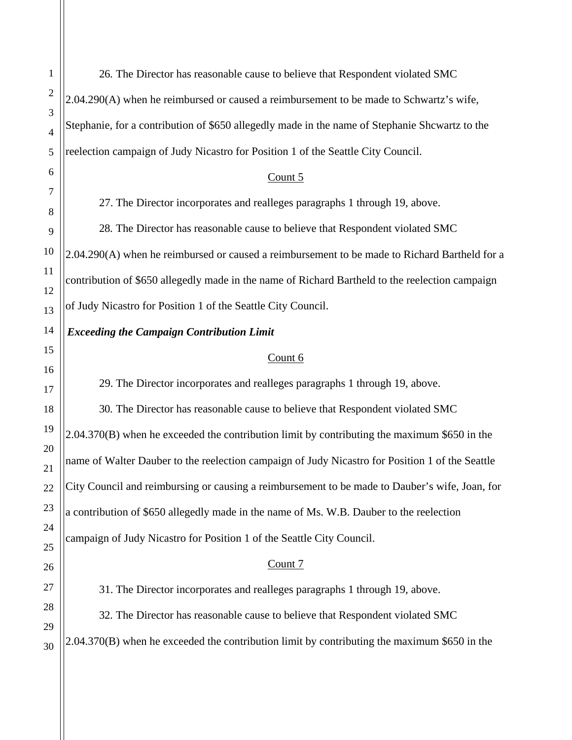26. The Director has reasonable cause to believe that Respondent violated SMC 2.04.290(A) when he reimbursed or caused a reimbursement to be made to Schwartz's wife, Stephanie, for a contribution of \$650 allegedly made in the name of Stephanie Shcwartz to the reelection campaign of Judy Nicastro for Position 1 of the Seattle City Council. Count 5

27. The Director incorporates and realleges paragraphs 1 through 19, above.

28. The Director has reasonable cause to believe that Respondent violated SMC 2.04.290(A) when he reimbursed or caused a reimbursement to be made to Richard Bartheld for a contribution of \$650 allegedly made in the name of Richard Bartheld to the reelection campaign of Judy Nicastro for Position 1 of the Seattle City Council.

## *Exceeding the Campaign Contribution Limit*

#### Count 6

29. The Director incorporates and realleges paragraphs 1 through 19, above.

30. The Director has reasonable cause to believe that Respondent violated SMC 2.04.370(B) when he exceeded the contribution limit by contributing the maximum \$650 in the name of Walter Dauber to the reelection campaign of Judy Nicastro for Position 1 of the Seattle City Council and reimbursing or causing a reimbursement to be made to Dauber's wife, Joan, for a contribution of \$650 allegedly made in the name of Ms. W.B. Dauber to the reelection campaign of Judy Nicastro for Position 1 of the Seattle City Council.

## Count 7

31. The Director incorporates and realleges paragraphs 1 through 19, above.

32. The Director has reasonable cause to believe that Respondent violated SMC 2.04.370(B) when he exceeded the contribution limit by contributing the maximum \$650 in the